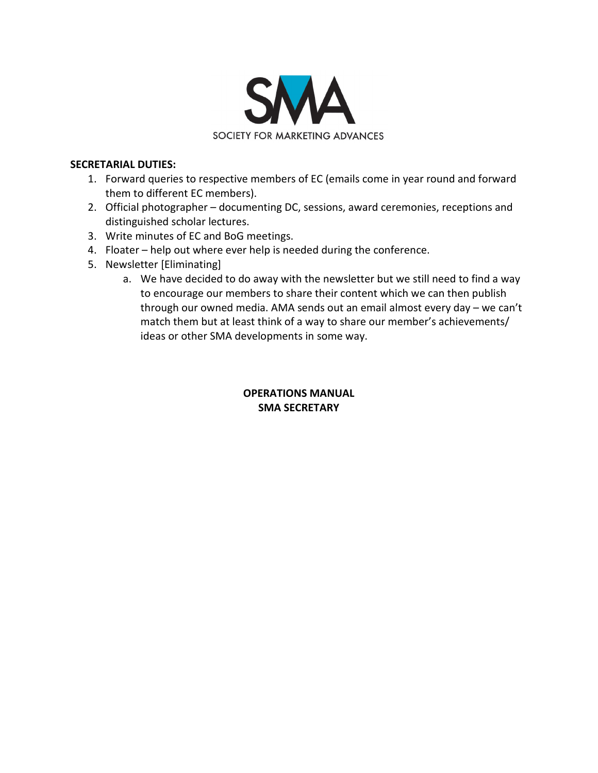

#### **SECRETARIAL DUTIES:**

- 1. Forward queries to respective members of EC (emails come in year round and forward them to different EC members).
- 2. Official photographer documenting DC, sessions, award ceremonies, receptions and distinguished scholar lectures.
- 3. Write minutes of EC and BoG meetings.
- 4. Floater help out where ever help is needed during the conference.
- 5. Newsletter [Eliminating]
	- a. We have decided to do away with the newsletter but we still need to find a way to encourage our members to share their content which we can then publish through our owned media. AMA sends out an email almost every day – we can't match them but at least think of a way to share our member's achievements/ ideas or other SMA developments in some way.

## **OPERATIONS MANUAL SMA SECRETARY**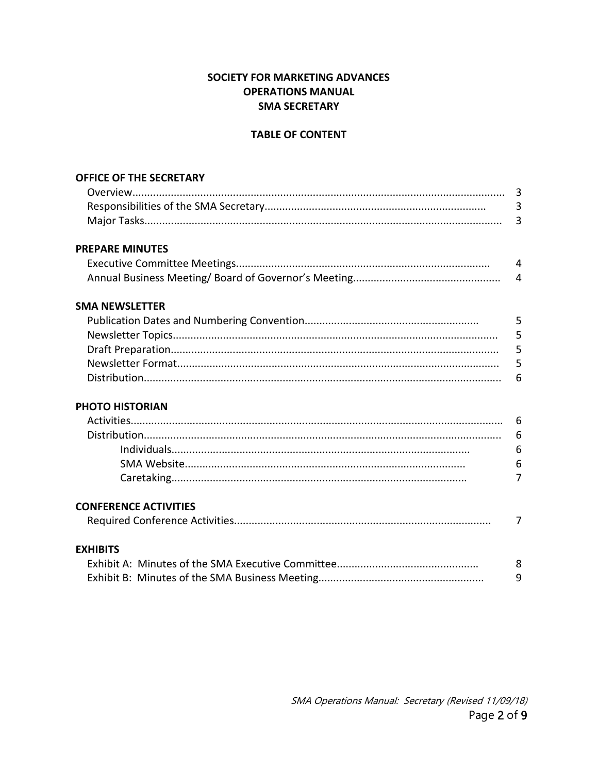## SOCIETY FOR MARKETING ADVANCES **OPERATIONS MANUAL SMA SECRETARY**

#### **TABLE OF CONTENT**

| <b>OFFICE OF THE SECRETARY</b> |                |
|--------------------------------|----------------|
|                                |                |
|                                | $\overline{3}$ |
|                                | $\overline{3}$ |
| <b>PREPARE MINUTES</b>         |                |
|                                | $\overline{4}$ |
|                                | $\overline{4}$ |
| <b>SMA NEWSLETTER</b>          |                |
|                                | 5              |
|                                | 5              |
|                                | 5              |
|                                | 5              |
|                                | 6              |
| <b>PHOTO HISTORIAN</b>         |                |
|                                |                |
|                                | 6              |
|                                | 6              |
|                                | 6              |
|                                | $\overline{7}$ |
| <b>CONFERENCE ACTIVITIES</b>   |                |
|                                | 7              |
| <b>EXHIBITS</b>                |                |
|                                | 8              |
|                                | 9              |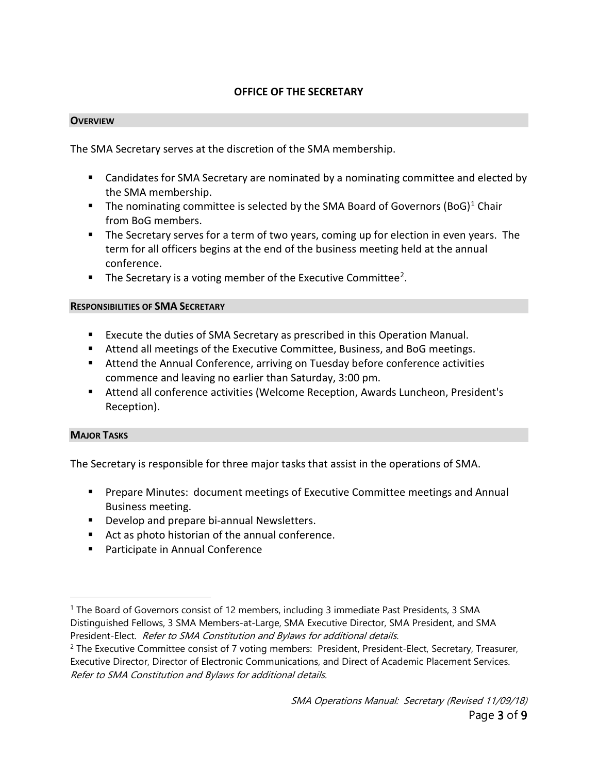## **OFFICE OF THE SECRETARY**

#### **OVERVIEW**

The SMA Secretary serves at the discretion of the SMA membership.

- Candidates for SMA Secretary are nominated by a nominating committee and elected by the SMA membership.
- The nominating committee is selected by the SMA Board of Governors  $(Bog)^1$  $(Bog)^1$  Chair from BoG members.
- **The Secretary serves for a term of two years, coming up for election in even years. The** term for all officers begins at the end of the business meeting held at the annual conference.
- $\blacksquare$  The Secretary is a voting member of the Executive Committee<sup>[2](#page-2-1)</sup>.

#### **RESPONSIBILITIES OF SMA SECRETARY**

- Execute the duties of SMA Secretary as prescribed in this Operation Manual.
- **Attend all meetings of the Executive Committee, Business, and BoG meetings.**
- Attend the Annual Conference, arriving on Tuesday before conference activities commence and leaving no earlier than Saturday, 3:00 pm.
- Attend all conference activities (Welcome Reception, Awards Luncheon, President's Reception).

#### **MAJOR TASKS**

The Secretary is responsible for three major tasks that assist in the operations of SMA.

- **Prepare Minutes: document meetings of Executive Committee meetings and Annual** Business meeting.
- **Develop and prepare bi-annual Newsletters.**
- Act as photo historian of the annual conference.
- **Participate in Annual Conference**

<span id="page-2-0"></span><sup>1</sup> The Board of Governors consist of 12 members, including 3 immediate Past Presidents, 3 SMA Distinguished Fellows, 3 SMA Members-at-Large, SMA Executive Director, SMA President, and SMA President-Elect. Refer to SMA Constitution and Bylaws for additional details.

<span id="page-2-1"></span><sup>&</sup>lt;sup>2</sup> The Executive Committee consist of 7 voting members: President, President-Elect, Secretary, Treasurer, Executive Director, Director of Electronic Communications, and Direct of Academic Placement Services. Refer to SMA Constitution and Bylaws for additional details.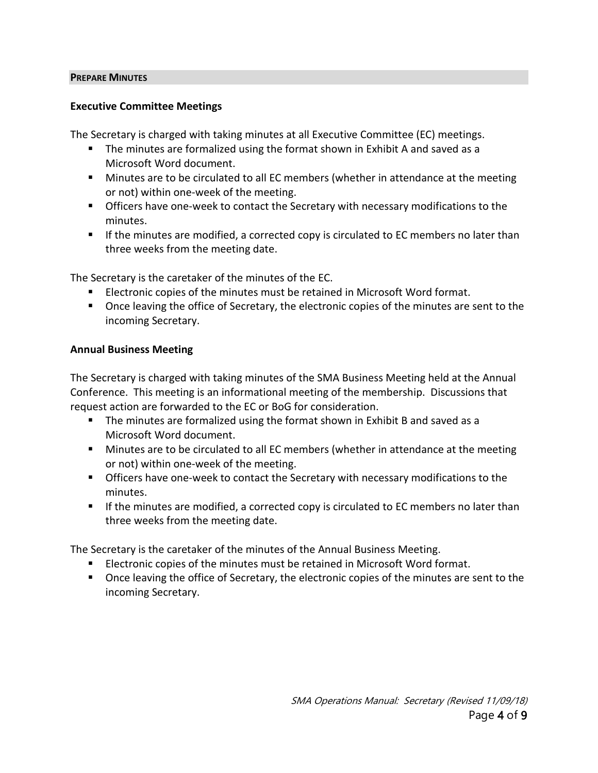#### **PREPARE MINUTES**

#### **Executive Committee Meetings**

The Secretary is charged with taking minutes at all Executive Committee (EC) meetings.

- The minutes are formalized using the format shown in Exhibit A and saved as a Microsoft Word document.
- **Minutes are to be circulated to all EC members (whether in attendance at the meeting** or not) within one-week of the meeting.
- **Officers have one-week to contact the Secretary with necessary modifications to the** minutes.
- If the minutes are modified, a corrected copy is circulated to EC members no later than three weeks from the meeting date.

The Secretary is the caretaker of the minutes of the EC.

- Electronic copies of the minutes must be retained in Microsoft Word format.
- **Deal** Christer Deaving the office of Secretary, the electronic copies of the minutes are sent to the incoming Secretary.

#### **Annual Business Meeting**

The Secretary is charged with taking minutes of the SMA Business Meeting held at the Annual Conference. This meeting is an informational meeting of the membership. Discussions that request action are forwarded to the EC or BoG for consideration.

- The minutes are formalized using the format shown in Exhibit B and saved as a Microsoft Word document.
- **Minutes are to be circulated to all EC members (whether in attendance at the meeting** or not) within one-week of the meeting.
- **Officers have one-week to contact the Secretary with necessary modifications to the** minutes.
- If the minutes are modified, a corrected copy is circulated to EC members no later than three weeks from the meeting date.

The Secretary is the caretaker of the minutes of the Annual Business Meeting.

- Electronic copies of the minutes must be retained in Microsoft Word format.
- **Deap The Set 20 Temma 1** Once leaving the sectronic copies of the minutes are sent to the incoming Secretary.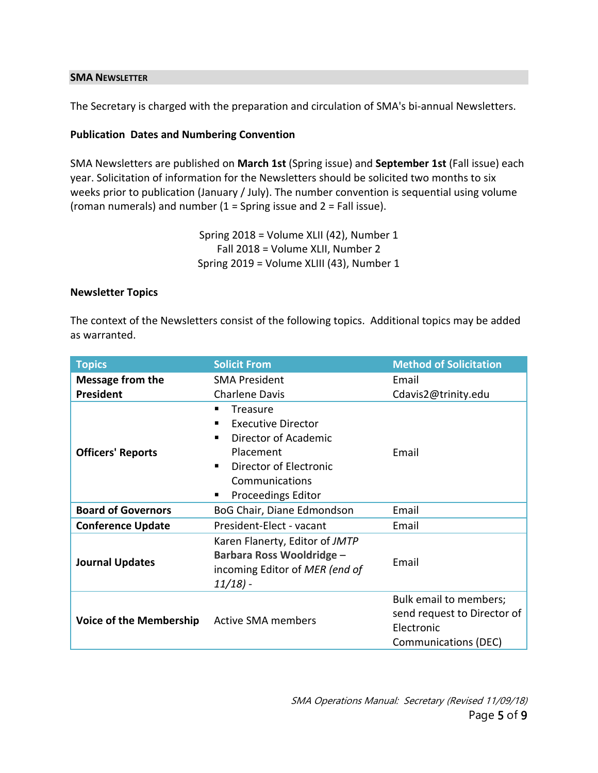#### **SMA NEWSLETTER**

The Secretary is charged with the preparation and circulation of SMA's bi-annual Newsletters.

#### **Publication Dates and Numbering Convention**

SMA Newsletters are published on **March 1st** (Spring issue) and **September 1st** (Fall issue) each year. Solicitation of information for the Newsletters should be solicited two months to six weeks prior to publication (January / July). The number convention is sequential using volume (roman numerals) and number  $(1 =$  Spring issue and  $2 =$  Fall issue).

> Spring 2018 = Volume XLII (42), Number 1 Fall 2018 = Volume XLII, Number 2 Spring 2019 = Volume XLIII (43), Number 1

#### **Newsletter Topics**

The context of the Newsletters consist of the following topics. Additional topics may be added as warranted.

| <b>Topics</b>                  | <b>Solicit From</b>              | <b>Method of Solicitation</b> |
|--------------------------------|----------------------------------|-------------------------------|
| <b>Message from the</b>        | <b>SMA President</b>             | Email                         |
| <b>President</b>               | <b>Charlene Davis</b>            | Cdavis2@trinity.edu           |
| <b>Officers' Reports</b>       | Treasure                         |                               |
|                                | <b>Executive Director</b><br>п   |                               |
|                                | Director of Academic             | Email                         |
|                                | Placement                        |                               |
|                                | Director of Electronic<br>٠      |                               |
|                                | Communications                   |                               |
|                                | <b>Proceedings Editor</b><br>٠   |                               |
| <b>Board of Governors</b>      | BoG Chair, Diane Edmondson       | Email                         |
| <b>Conference Update</b>       | President-Elect - vacant         | Email                         |
| <b>Journal Updates</b>         | Karen Flanerty, Editor of JMTP   | Email                         |
|                                | <b>Barbara Ross Wooldridge -</b> |                               |
|                                | incoming Editor of MER (end of   |                               |
|                                | $11/18$ ) -                      |                               |
| <b>Voice of the Membership</b> | <b>Active SMA members</b>        | Bulk email to members;        |
|                                |                                  | send request to Director of   |
|                                |                                  | Electronic                    |
|                                |                                  | <b>Communications (DEC)</b>   |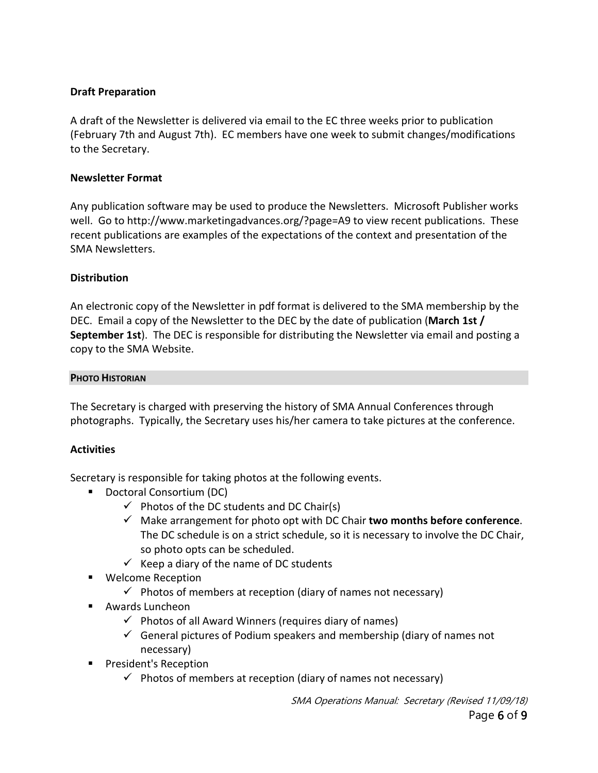## **Draft Preparation**

A draft of the Newsletter is delivered via email to the EC three weeks prior to publication (February 7th and August 7th). EC members have one week to submit changes/modifications to the Secretary.

## **Newsletter Format**

Any publication software may be used to produce the Newsletters. Microsoft Publisher works well. Go to http://www.marketingadvances.org/?page=A9 to view recent publications. These recent publications are examples of the expectations of the context and presentation of the SMA Newsletters.

# **Distribution**

An electronic copy of the Newsletter in pdf format is delivered to the SMA membership by the DEC. Email a copy of the Newsletter to the DEC by the date of publication (**March 1st / September 1st**). The DEC is responsible for distributing the Newsletter via email and posting a copy to the SMA Website.

## **PHOTO HISTORIAN**

The Secretary is charged with preserving the history of SMA Annual Conferences through photographs. Typically, the Secretary uses his/her camera to take pictures at the conference.

## **Activities**

Secretary is responsible for taking photos at the following events.

- Doctoral Consortium (DC)
	- $\checkmark$  Photos of the DC students and DC Chair(s)
	- Make arrangement for photo opt with DC Chair **two months before conference**. The DC schedule is on a strict schedule, so it is necessary to involve the DC Chair, so photo opts can be scheduled.
	- $\checkmark$  Keep a diary of the name of DC students
- Welcome Reception
	- $\checkmark$  Photos of members at reception (diary of names not necessary)
- Awards Luncheon
	- $\checkmark$  Photos of all Award Winners (requires diary of names)
	- $\checkmark$  General pictures of Podium speakers and membership (diary of names not necessary)
- **President's Reception** 
	- $\checkmark$  Photos of members at reception (diary of names not necessary)

SMA Operations Manual: Secretary (Revised 11/09/18)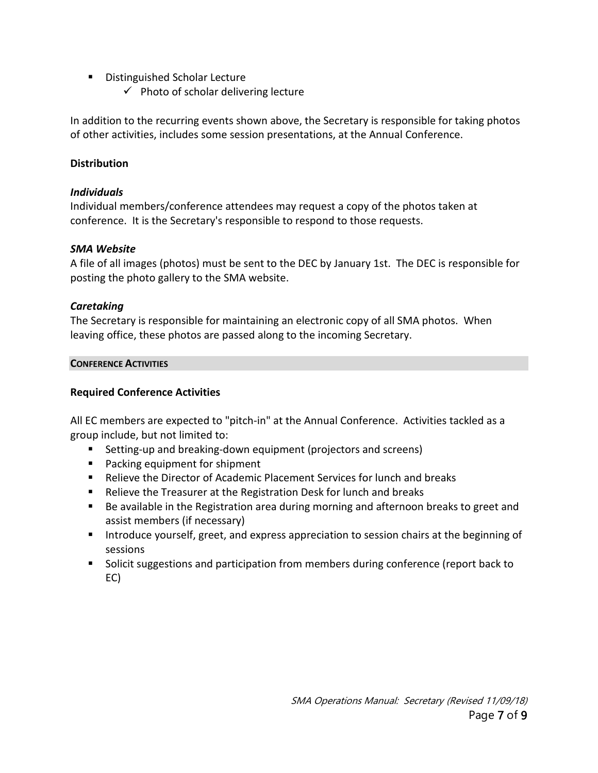- Distinguished Scholar Lecture
	- $\checkmark$  Photo of scholar delivering lecture

In addition to the recurring events shown above, the Secretary is responsible for taking photos of other activities, includes some session presentations, at the Annual Conference.

## **Distribution**

## *Individuals*

Individual members/conference attendees may request a copy of the photos taken at conference. It is the Secretary's responsible to respond to those requests.

## *SMA Website*

A file of all images (photos) must be sent to the DEC by January 1st. The DEC is responsible for posting the photo gallery to the SMA website.

# *Caretaking*

The Secretary is responsible for maintaining an electronic copy of all SMA photos. When leaving office, these photos are passed along to the incoming Secretary.

## **CONFERENCE ACTIVITIES**

# **Required Conference Activities**

All EC members are expected to "pitch-in" at the Annual Conference. Activities tackled as a group include, but not limited to:

- Setting-up and breaking-down equipment (projectors and screens)
- **Packing equipment for shipment**
- Relieve the Director of Academic Placement Services for lunch and breaks
- Relieve the Treasurer at the Registration Desk for lunch and breaks
- Be available in the Registration area during morning and afternoon breaks to greet and assist members (if necessary)
- Introduce yourself, greet, and express appreciation to session chairs at the beginning of sessions
- **Solicit suggestions and participation from members during conference (report back to** EC)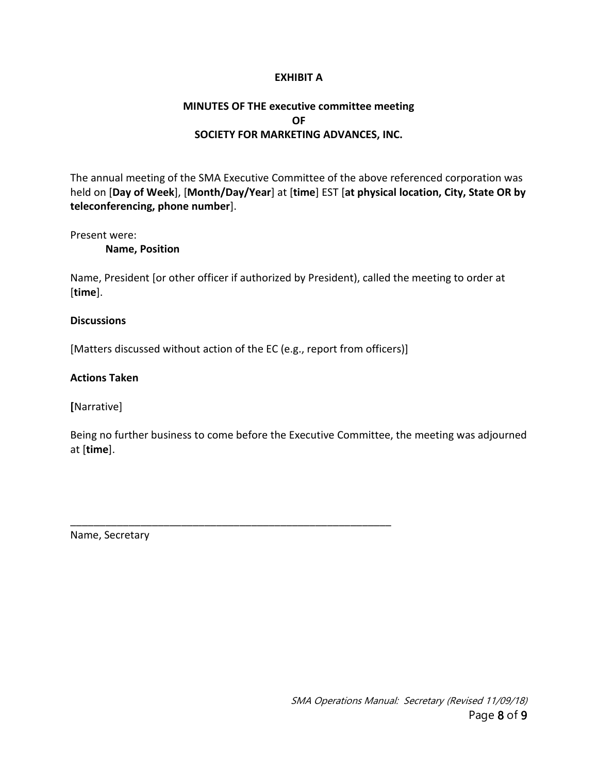#### **EXHIBIT A**

## **MINUTES OF THE executive committee meeting OF SOCIETY FOR MARKETING ADVANCES, INC.**

The annual meeting of the SMA Executive Committee of the above referenced corporation was held on [**Day of Week**], [**Month/Day/Year**] at [**time**] EST [**at physical location, City, State OR by teleconferencing, phone number**].

Present were:

**Name, Position**

Name, President [or other officer if authorized by President), called the meeting to order at [**time**].

#### **Discussions**

[Matters discussed without action of the EC (e.g., report from officers)]

\_\_\_\_\_\_\_\_\_\_\_\_\_\_\_\_\_\_\_\_\_\_\_\_\_\_\_\_\_\_\_\_\_\_\_\_\_\_\_\_\_\_\_\_\_\_\_\_\_\_\_\_\_\_\_

#### **Actions Taken**

**[**Narrative]

Being no further business to come before the Executive Committee, the meeting was adjourned at [**time**].

Name, Secretary